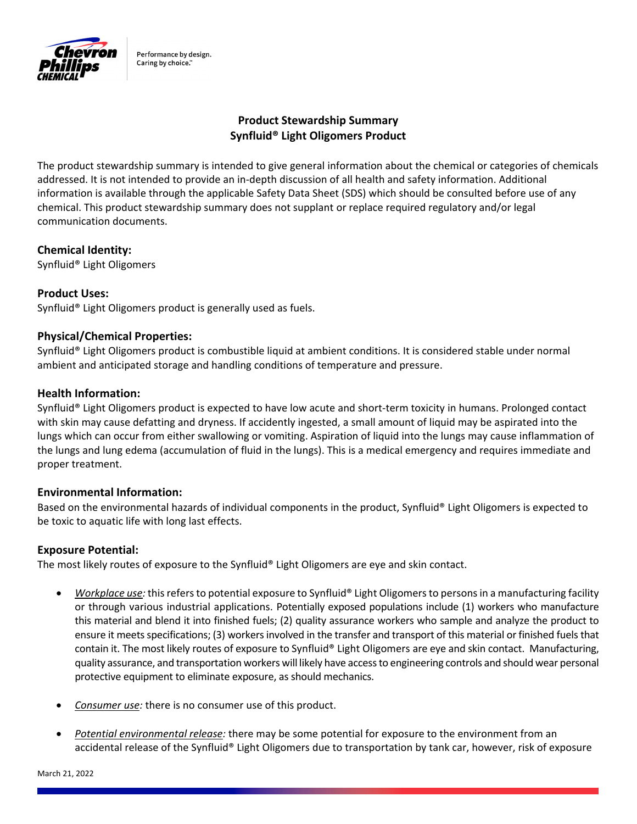

Performance by design. Caring by choice."

# **Product Stewardship Summary Synfluid® Light Oligomers Product**

The product stewardship summary is intended to give general information about the chemical or categories of chemicals addressed. It is not intended to provide an in‐depth discussion of all health and safety information. Additional information is available through the applicable Safety Data Sheet (SDS) which should be consulted before use of any chemical. This product stewardship summary does not supplant or replace required regulatory and/or legal communication documents.

## **Chemical Identity:**

Synfluid® Light Oligomers

## **Product Uses:**

Synfluid® Light Oligomers product is generally used as fuels.

## **Physical/Chemical Properties:**

Synfluid® Light Oligomers product is combustible liquid at ambient conditions. It is considered stable under normal ambient and anticipated storage and handling conditions of temperature and pressure.

### **Health Information:**

Synfluid® Light Oligomers product is expected to have low acute and short-term toxicity in humans. Prolonged contact with skin may cause defatting and dryness. If accidently ingested, a small amount of liquid may be aspirated into the lungs which can occur from either swallowing or vomiting. Aspiration of liquid into the lungs may cause inflammation of the lungs and lung edema (accumulation of fluid in the lungs). This is a medical emergency and requires immediate and proper treatment.

### **Environmental Information:**

Based on the environmental hazards of individual components in the product, Synfluid® Light Oligomers is expected to be toxic to aquatic life with long last effects.

### **Exposure Potential:**

The most likely routes of exposure to the Synfluid® Light Oligomers are eye and skin contact.

- *Workplace use:* this refers to potential exposure to Synfluid® Light Oligomers to persons in a manufacturing facility or through various industrial applications. Potentially exposed populations include (1) workers who manufacture this material and blend it into finished fuels; (2) quality assurance workers who sample and analyze the product to ensure it meets specifications; (3) workers involved in the transfer and transport of this material or finished fuels that contain it. The most likely routes of exposure to Synfluid® Light Oligomers are eye and skin contact. Manufacturing, quality assurance, and transportation workers will likely have accessto engineering controls and should wear personal protective equipment to eliminate exposure, as should mechanics.
- *Consumer use:* there is no consumer use of this product.
- *Potential environmental release:* there may be some potential for exposure to the environment from an accidental release of the Synfluid® Light Oligomers due to transportation by tank car, however, risk of exposure